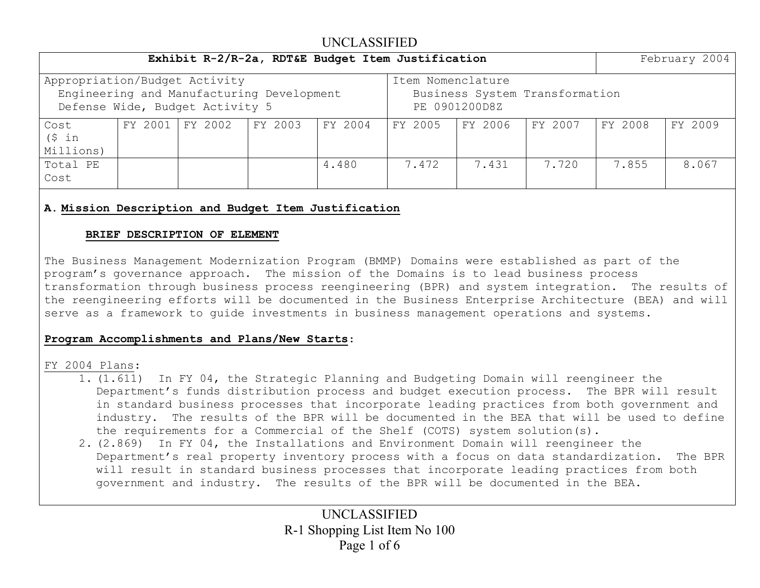|                               | February 2004 |                                                                              |         |         |                                                                      |         |         |         |         |  |  |  |  |  |  |
|-------------------------------|---------------|------------------------------------------------------------------------------|---------|---------|----------------------------------------------------------------------|---------|---------|---------|---------|--|--|--|--|--|--|
| Appropriation/Budget Activity |               | Engineering and Manufacturing Development<br>Defense Wide, Budget Activity 5 |         |         | Item Nomenclature<br>Business System Transformation<br>PE 0901200D8Z |         |         |         |         |  |  |  |  |  |  |
| Cost<br>(S in<br>Millions)    | FY 2001       | FY 2002                                                                      | FY 2003 | FY 2004 | FY 2005                                                              | FY 2006 | FY 2007 | FY 2008 | FY 2009 |  |  |  |  |  |  |
| Total PE<br>Cost              |               |                                                                              |         | 4.480   | 7.472                                                                | 7.431   | 7.720   | 7.855   | 8.067   |  |  |  |  |  |  |

### **A. Mission Description and Budget Item Justification**

#### **BRIEF DESCRIPTION OF ELEMENT**

The Business Management Modernization Program (BMMP) Domains were established as part of the program's governance approach. The mission of the Domains is to lead business process transformation through business process reengineering (BPR) and system integration. The results of the reengineering efforts will be documented in the Business Enterprise Architecture (BEA) and will serve as a framework to guide investments in business management operations and systems.

### **Program Accomplishments and Plans/New Starts**:

#### FY 2004 Plans:

- 1. (1.611) In FY 04, the Strategic Planning and Budgeting Domain will reengineer the Department's funds distribution process and budget execution process. The BPR will result in standard business processes that incorporate leading practices from both government and industry. The results of the BPR will be documented in the BEA that will be used to define the requirements for a Commercial of the Shelf (COTS) system solution(s).
- 2. (2.869) In FY 04, the Installations and Environment Domain will reengineer the Department's real property inventory process with a focus on data standardization. The BPR will result in standard business processes that incorporate leading practices from both government and industry. The results of the BPR will be documented in the BEA.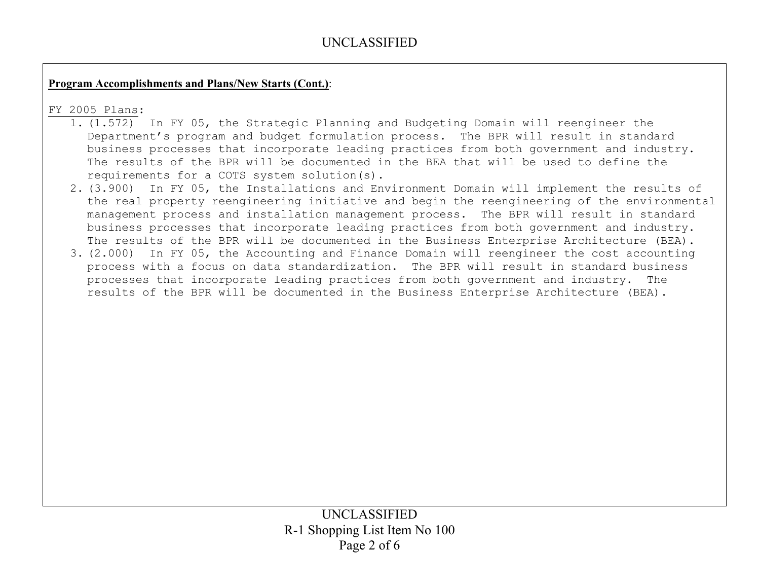## **Program Accomplishments and Plans/New Starts (Cont.)**:

### FY 2005 Plans:

- 1. (1.572) In FY 05, the Strategic Planning and Budgeting Domain will reengineer the Department's program and budget formulation process. The BPR will result in standard business processes that incorporate leading practices from both government and industry. The results of the BPR will be documented in the BEA that will be used to define the requirements for a COTS system solution(s).
- 2. (3.900) In FY 05, the Installations and Environment Domain will implement the results of the real property reengineering initiative and begin the reengineering of the environmental management process and installation management process. The BPR will result in standard business processes that incorporate leading practices from both government and industry. The results of the BPR will be documented in the Business Enterprise Architecture (BEA).
- 3. (2.000) In FY 05, the Accounting and Finance Domain will reengineer the cost accounting process with a focus on data standardization. The BPR will result in standard business processes that incorporate leading practices from both government and industry. The results of the BPR will be documented in the Business Enterprise Architecture (BEA).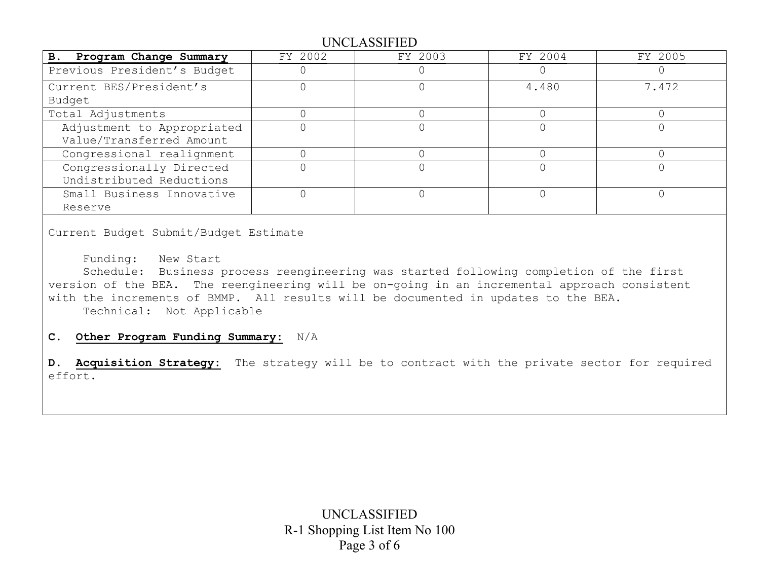| B. Program Change Summary   | FY 2002 | FY 2003 | FY 2004 | FY 2005 |
|-----------------------------|---------|---------|---------|---------|
| Previous President's Budget |         |         |         |         |
| Current BES/President's     |         |         | 4.480   | 7.472   |
| Budget                      |         |         |         |         |
| Total Adjustments           |         |         |         |         |
| Adjustment to Appropriated  |         |         |         |         |
| Value/Transferred Amount    |         |         |         |         |
| Congressional realignment   |         |         |         |         |
| Congressionally Directed    |         |         |         |         |
| Undistributed Reductions    |         |         |         |         |
| Small Business Innovative   |         |         |         |         |
| Reserve                     |         |         |         |         |

Current Budget Submit/Budget Estimate

Funding: New Start

 Schedule: Business process reengineering was started following completion of the first version of the BEA. The reengineering will be on-going in an incremental approach consistent with the increments of BMMP. All results will be documented in updates to the BEA. Technical: Not Applicable

**C. Other Program Funding Summary:** N/A

**D. Acquisition Strategy:** The strategy will be to contract with the private sector for required effort.

> UNCLASSIFIED R-1 Shopping List Item No 100 Page 3 of 6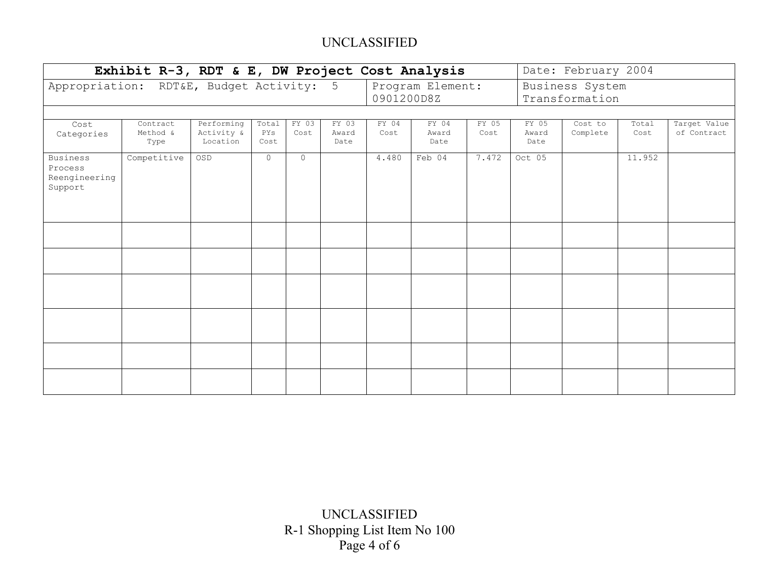| Exhibit R-3, RDT & E, DW Project Cost Analysis         |                              | Date: February 2004                  |                      |               |                        |               |                        |               |                                   |                     |               |                             |  |  |  |  |
|--------------------------------------------------------|------------------------------|--------------------------------------|----------------------|---------------|------------------------|---------------|------------------------|---------------|-----------------------------------|---------------------|---------------|-----------------------------|--|--|--|--|
| Appropriation: RDT&E, Budget Activity: 5               |                              |                                      |                      |               |                        | 0901200D8Z    | Program Element:       |               | Business System<br>Transformation |                     |               |                             |  |  |  |  |
|                                                        |                              |                                      |                      |               |                        |               |                        |               |                                   |                     |               |                             |  |  |  |  |
| Cost<br>Categories                                     | Contract<br>Method &<br>Type | Performing<br>Activity &<br>Location | Total<br>PYS<br>Cost | FY 03<br>Cost | FY 03<br>Award<br>Date | FY 04<br>Cost | FY 04<br>Award<br>Date | FY 05<br>Cost | FY 05<br>Award<br>Date            | Cost to<br>Complete | Total<br>Cost | Target Value<br>of Contract |  |  |  |  |
| <b>Business</b><br>Process<br>Reengineering<br>Support | Competitive                  | OSD                                  | $\Omega$             | $\Omega$      |                        | 4.480         | Feb 04                 | 7.472         | Oct 05                            |                     | 11.952        |                             |  |  |  |  |
|                                                        |                              |                                      |                      |               |                        |               |                        |               |                                   |                     |               |                             |  |  |  |  |
|                                                        |                              |                                      |                      |               |                        |               |                        |               |                                   |                     |               |                             |  |  |  |  |
|                                                        |                              |                                      |                      |               |                        |               |                        |               |                                   |                     |               |                             |  |  |  |  |
|                                                        |                              |                                      |                      |               |                        |               |                        |               |                                   |                     |               |                             |  |  |  |  |
|                                                        |                              |                                      |                      |               |                        |               |                        |               |                                   |                     |               |                             |  |  |  |  |
|                                                        |                              |                                      |                      |               |                        |               |                        |               |                                   |                     |               |                             |  |  |  |  |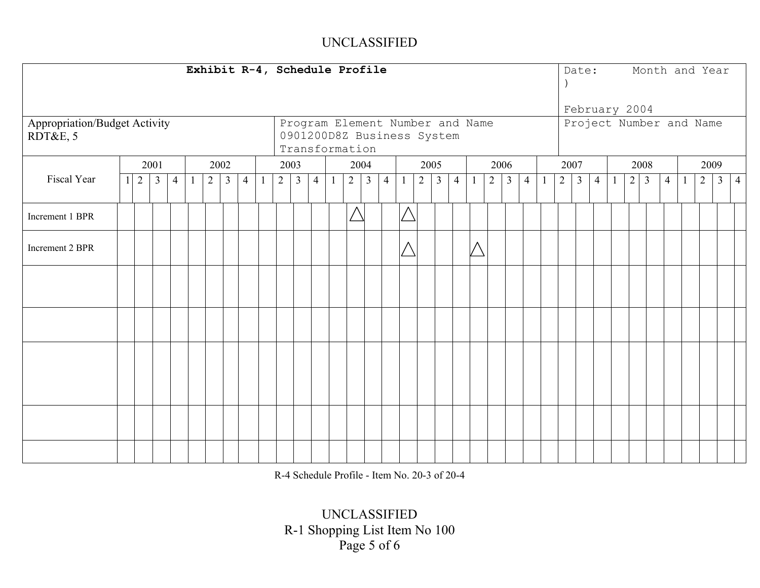|                               |                |                |                |                |                |                | Exhibit R-4, Schedule Profile |                |                |                                 |                |                |                |    |                |                |                |   |                |              |                |                |                |                |      |               |  |                | Date: Month and Year    |                |                |                |
|-------------------------------|----------------|----------------|----------------|----------------|----------------|----------------|-------------------------------|----------------|----------------|---------------------------------|----------------|----------------|----------------|----|----------------|----------------|----------------|---|----------------|--------------|----------------|----------------|----------------|----------------|------|---------------|--|----------------|-------------------------|----------------|----------------|----------------|
|                               |                |                |                |                |                |                |                               |                |                |                                 |                |                |                |    |                |                |                |   |                |              |                |                |                |                |      | February 2004 |  |                |                         |                |                |                |
| Appropriation/Budget Activity |                |                |                |                |                |                |                               |                |                | Program Element Number and Name |                |                |                |    |                |                |                |   |                |              |                |                |                |                |      |               |  |                | Project Number and Name |                |                |                |
| RDT&E, 5                      |                |                |                |                |                |                |                               |                |                | 0901200D8Z Business System      |                |                |                |    |                |                |                |   |                |              |                |                |                |                |      |               |  |                |                         |                |                |                |
|                               |                |                |                |                |                |                |                               |                |                | Transformation                  |                |                |                |    |                |                |                |   |                |              |                |                |                |                |      |               |  |                |                         |                |                |                |
|                               |                | 2001           |                | 2002           |                |                |                               | 2003           |                |                                 | 2004           |                |                |    | 2005           |                |                |   | 2006           |              |                | 2007           |                |                | 2008 |               |  |                | 2009                    |                |                |                |
|                               |                |                |                |                |                |                |                               |                |                |                                 |                |                |                |    |                |                |                |   |                |              |                |                |                |                |      |               |  |                |                         |                |                |                |
| Fiscal Year                   | $\overline{2}$ | 3 <sup>1</sup> | $\overline{4}$ | $\overline{2}$ | $\overline{3}$ | $\overline{4}$ |                               | $\overline{2}$ | $\overline{3}$ | $\overline{4}$                  | 2 <sup>1</sup> | $\overline{3}$ | $\overline{4}$ | -1 | $\overline{2}$ | 3 <sup>1</sup> | $\overline{4}$ |   | $\overline{2}$ | $\mathbf{3}$ | $\overline{4}$ | $\overline{2}$ | $\mathfrak{Z}$ | $\overline{4}$ |      | $2 \mid 3$    |  | $\overline{4}$ |                         | $\overline{2}$ | 3 <sup>1</sup> | $\overline{4}$ |
| Increment 1 BPR               |                |                |                |                |                |                |                               |                |                |                                 | $\triangle$    |                |                |    |                |                |                |   |                |              |                |                |                |                |      |               |  |                |                         |                |                |                |
| Increment 2 BPR               |                |                |                |                |                |                |                               |                |                |                                 |                |                |                |    |                |                |                | Λ |                |              |                |                |                |                |      |               |  |                |                         |                |                |                |
|                               |                |                |                |                |                |                |                               |                |                |                                 |                |                |                |    |                |                |                |   |                |              |                |                |                |                |      |               |  |                |                         |                |                |                |
|                               |                |                |                |                |                |                |                               |                |                |                                 |                |                |                |    |                |                |                |   |                |              |                |                |                |                |      |               |  |                |                         |                |                |                |
|                               |                |                |                |                |                |                |                               |                |                |                                 |                |                |                |    |                |                |                |   |                |              |                |                |                |                |      |               |  |                |                         |                |                |                |
|                               |                |                |                |                |                |                |                               |                |                |                                 |                |                |                |    |                |                |                |   |                |              |                |                |                |                |      |               |  |                |                         |                |                |                |
|                               |                |                |                |                |                |                |                               |                |                |                                 |                |                |                |    |                |                |                |   |                |              |                |                |                |                |      |               |  |                |                         |                |                |                |

R-4 Schedule Profile - Item No. 20-3 of 20-4

UNCLASSIFIED R-1 Shopping List Item No 100 Page 5 of 6